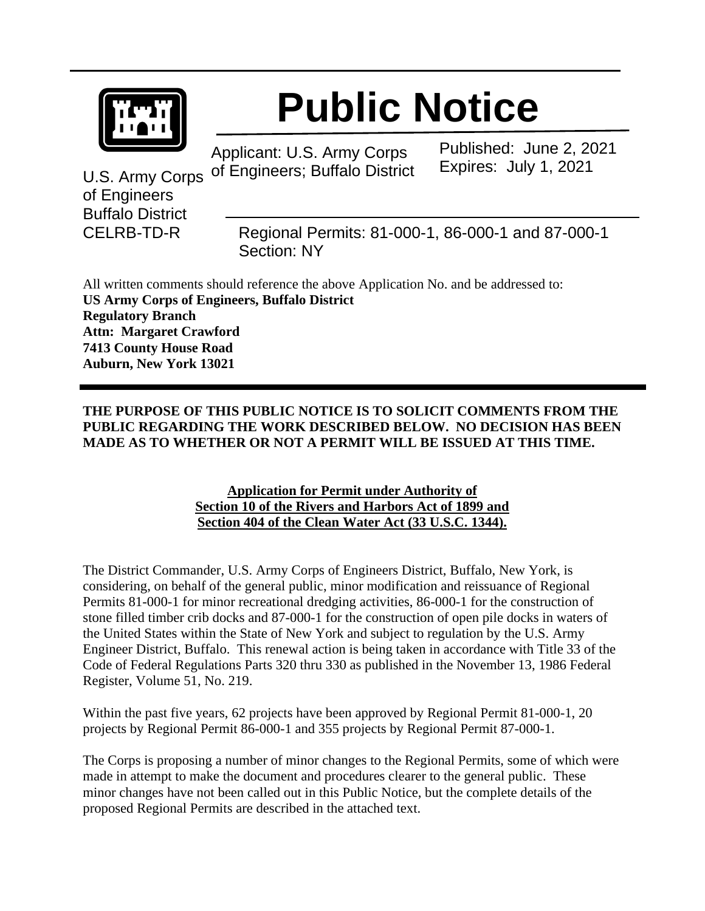

## **Public Notice**

Applicant: U.S. Army Corps of Engineers; Buffalo District Published: June 2, 2021 Expires: July 1, 2021

U.S. Army Corps of Engineers Buffalo District

CELRB-TD-R Regional Permits: 81-000-1, 86-000-1 and 87-000-1 Section: NY

All written comments should reference the above Application No. and be addressed to: **US Army Corps of Engineers, Buffalo District Regulatory Branch Attn: Margaret Crawford 7413 County House Road Auburn, New York 13021**

## **THE PURPOSE OF THIS PUBLIC NOTICE IS TO SOLICIT COMMENTS FROM THE PUBLIC REGARDING THE WORK DESCRIBED BELOW. NO DECISION HAS BEEN MADE AS TO WHETHER OR NOT A PERMIT WILL BE ISSUED AT THIS TIME.**

## **Application for Permit under Authority of Section 10 of the Rivers and Harbors Act of 1899 and Section 404 of the Clean Water Act (33 U.S.C. 1344).**

The District Commander, U.S. Army Corps of Engineers District, Buffalo, New York, is considering, on behalf of the general public, minor modification and reissuance of Regional Permits 81-000-1 for minor recreational dredging activities, 86-000-1 for the construction of stone filled timber crib docks and 87-000-1 for the construction of open pile docks in waters of the United States within the State of New York and subject to regulation by the U.S. Army Engineer District, Buffalo. This renewal action is being taken in accordance with Title 33 of the Code of Federal Regulations Parts 320 thru 330 as published in the November 13, 1986 Federal Register, Volume 51, No. 219.

Within the past five years, 62 projects have been approved by Regional Permit 81-000-1, 20 projects by Regional Permit 86-000-1 and 355 projects by Regional Permit 87-000-1.

The Corps is proposing a number of minor changes to the Regional Permits, some of which were made in attempt to make the document and procedures clearer to the general public. These minor changes have not been called out in this Public Notice, but the complete details of the proposed Regional Permits are described in the attached text.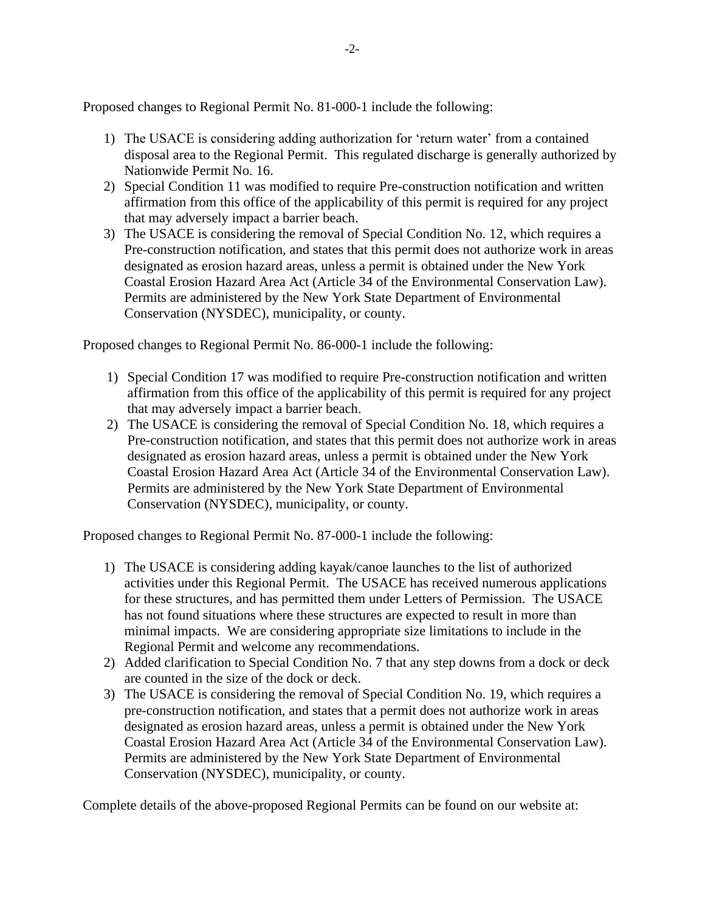Proposed changes to Regional Permit No. 81-000-1 include the following:

- 1) The USACE is considering adding authorization for 'return water' from a contained disposal area to the Regional Permit. This regulated discharge is generally authorized by Nationwide Permit No. 16.
- 2) Special Condition 11 was modified to require Pre-construction notification and written affirmation from this office of the applicability of this permit is required for any project that may adversely impact a barrier beach.
- 3) The USACE is considering the removal of Special Condition No. 12, which requires a Pre-construction notification, and states that this permit does not authorize work in areas designated as erosion hazard areas, unless a permit is obtained under the New York Coastal Erosion Hazard Area Act (Article 34 of the Environmental Conservation Law). Permits are administered by the New York State Department of Environmental Conservation (NYSDEC), municipality, or county.

Proposed changes to Regional Permit No. 86-000-1 include the following:

- 1) Special Condition 17 was modified to require Pre-construction notification and written affirmation from this office of the applicability of this permit is required for any project that may adversely impact a barrier beach.
- 2) The USACE is considering the removal of Special Condition No. 18, which requires a Pre-construction notification, and states that this permit does not authorize work in areas designated as erosion hazard areas, unless a permit is obtained under the New York Coastal Erosion Hazard Area Act (Article 34 of the Environmental Conservation Law). Permits are administered by the New York State Department of Environmental Conservation (NYSDEC), municipality, or county.

Proposed changes to Regional Permit No. 87-000-1 include the following:

- 1) The USACE is considering adding kayak/canoe launches to the list of authorized activities under this Regional Permit. The USACE has received numerous applications for these structures, and has permitted them under Letters of Permission. The USACE has not found situations where these structures are expected to result in more than minimal impacts. We are considering appropriate size limitations to include in the Regional Permit and welcome any recommendations.
- 2) Added clarification to Special Condition No. 7 that any step downs from a dock or deck are counted in the size of the dock or deck.
- 3) The USACE is considering the removal of Special Condition No. 19, which requires a pre-construction notification, and states that a permit does not authorize work in areas designated as erosion hazard areas, unless a permit is obtained under the New York Coastal Erosion Hazard Area Act (Article 34 of the Environmental Conservation Law). Permits are administered by the New York State Department of Environmental Conservation (NYSDEC), municipality, or county.

Complete details of the above-proposed Regional Permits can be found on our website at: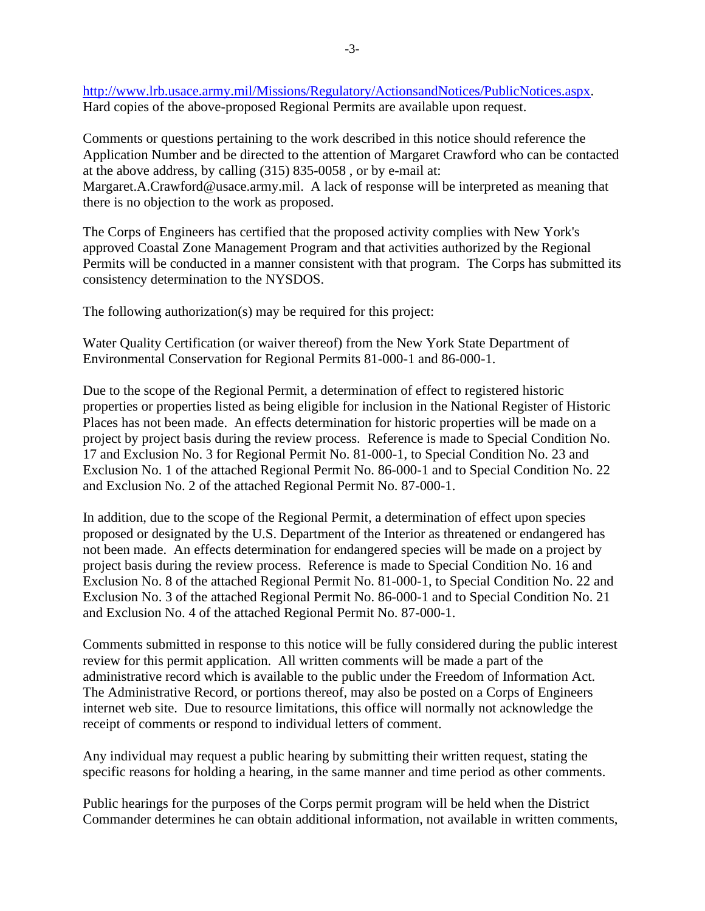[http://www.lrb.usace.army.mil/Missions/Regulatory/ActionsandNotices/PublicNotices.aspx.](http://www.lrb.usace.army.mil/Missions/Regulatory/ActionsandNotices/PublicNotices.aspx) Hard copies of the above-proposed Regional Permits are available upon request.

Comments or questions pertaining to the work described in this notice should reference the Application Number and be directed to the attention of Margaret Crawford who can be contacted at the above address, by calling (315) 835-0058 , or by e-mail at: Margaret.A.Crawford@usace.army.mil. A lack of response will be interpreted as meaning that there is no objection to the work as proposed.

The Corps of Engineers has certified that the proposed activity complies with New York's approved Coastal Zone Management Program and that activities authorized by the Regional Permits will be conducted in a manner consistent with that program. The Corps has submitted its consistency determination to the NYSDOS.

The following authorization(s) may be required for this project:

Water Quality Certification (or waiver thereof) from the New York State Department of Environmental Conservation for Regional Permits 81-000-1 and 86-000-1.

Due to the scope of the Regional Permit, a determination of effect to registered historic properties or properties listed as being eligible for inclusion in the National Register of Historic Places has not been made. An effects determination for historic properties will be made on a project by project basis during the review process. Reference is made to Special Condition No. 17 and Exclusion No. 3 for Regional Permit No. 81-000-1, to Special Condition No. 23 and Exclusion No. 1 of the attached Regional Permit No. 86-000-1 and to Special Condition No. 22 and Exclusion No. 2 of the attached Regional Permit No. 87-000-1.

In addition, due to the scope of the Regional Permit, a determination of effect upon species proposed or designated by the U.S. Department of the Interior as threatened or endangered has not been made. An effects determination for endangered species will be made on a project by project basis during the review process. Reference is made to Special Condition No. 16 and Exclusion No. 8 of the attached Regional Permit No. 81-000-1, to Special Condition No. 22 and Exclusion No. 3 of the attached Regional Permit No. 86-000-1 and to Special Condition No. 21 and Exclusion No. 4 of the attached Regional Permit No. 87-000-1.

Comments submitted in response to this notice will be fully considered during the public interest review for this permit application. All written comments will be made a part of the administrative record which is available to the public under the Freedom of Information Act. The Administrative Record, or portions thereof, may also be posted on a Corps of Engineers internet web site. Due to resource limitations, this office will normally not acknowledge the receipt of comments or respond to individual letters of comment.

Any individual may request a public hearing by submitting their written request, stating the specific reasons for holding a hearing, in the same manner and time period as other comments.

Public hearings for the purposes of the Corps permit program will be held when the District Commander determines he can obtain additional information, not available in written comments,